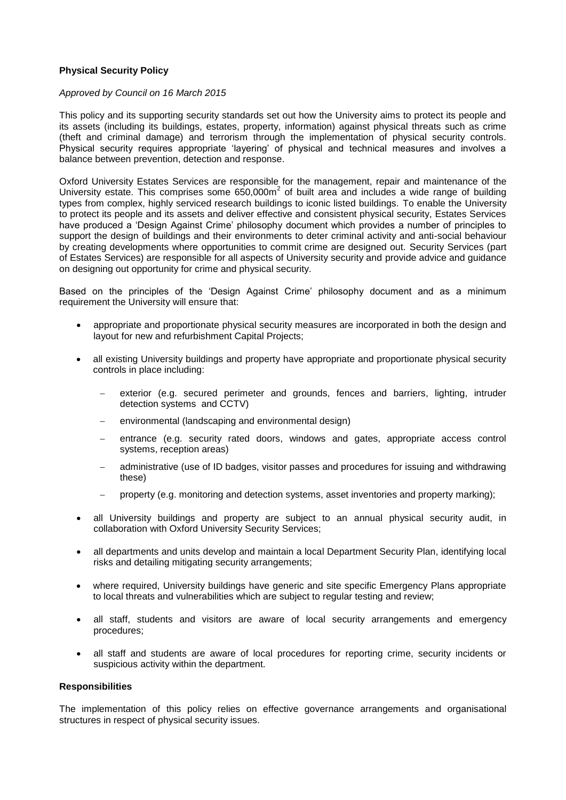## **Physical Security Policy**

#### *Approved by Council on 16 March 2015*

This policy and its supporting security standards set out how the University aims to protect its people and its assets (including its buildings, estates, property, information) against physical threats such as crime (theft and criminal damage) and terrorism through the implementation of physical security controls. Physical security requires appropriate 'layering' of physical and technical measures and involves a balance between prevention, detection and response.

Oxford University Estates Services are responsible for the management, repair and maintenance of the University estate. This comprises some  $650,000m^2$  of built area and includes a wide range of building types from complex, highly serviced research buildings to iconic listed buildings. To enable the University to protect its people and its assets and deliver effective and consistent physical security, Estates Services have produced a 'Design Against Crime' philosophy document which provides a number of principles to support the design of buildings and their environments to deter criminal activity and anti-social behaviour by creating developments where opportunities to commit crime are designed out. Security Services (part of Estates Services) are responsible for all aspects of University security and provide advice and guidance on designing out opportunity for crime and physical security.

Based on the principles of the 'Design Against Crime' philosophy document and as a minimum requirement the University will ensure that:

- appropriate and proportionate physical security measures are incorporated in both the design and layout for new and refurbishment Capital Projects;
- all existing University buildings and property have appropriate and proportionate physical security controls in place including:
	- exterior (e.g. secured perimeter and grounds, fences and barriers, lighting, intruder detection systems and CCTV)
	- environmental (landscaping and environmental design)
	- entrance (e.g. security rated doors, windows and gates, appropriate access control systems, reception areas)
	- administrative (use of ID badges, visitor passes and procedures for issuing and withdrawing these)
	- property (e.g. monitoring and detection systems, asset inventories and property marking);
- all University buildings and property are subject to an annual physical security audit, in collaboration with Oxford University Security Services;
- all departments and units develop and maintain a local Department Security Plan, identifying local risks and detailing mitigating security arrangements;
- where required, University buildings have generic and site specific Emergency Plans appropriate to local threats and vulnerabilities which are subject to regular testing and review;
- all staff, students and visitors are aware of local security arrangements and emergency procedures;
- all staff and students are aware of local procedures for reporting crime, security incidents or suspicious activity within the department.

### **Responsibilities**

The implementation of this policy relies on effective governance arrangements and organisational structures in respect of physical security issues.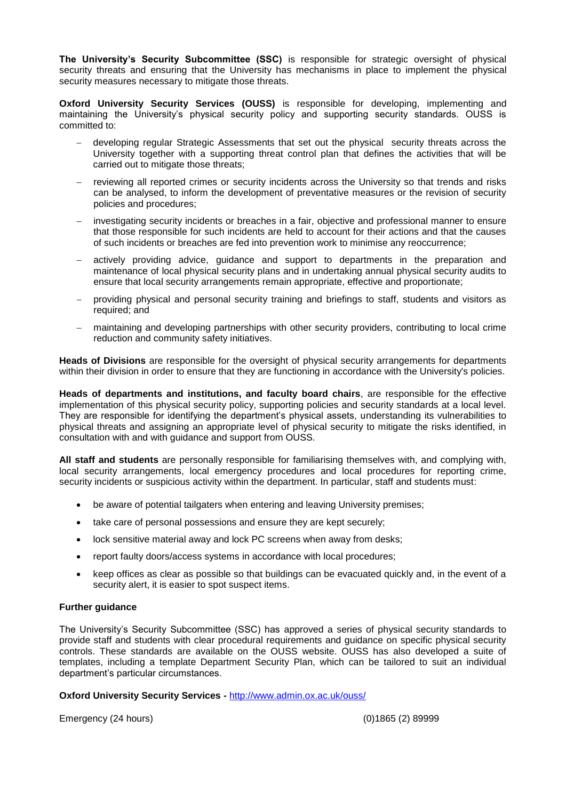**The University's Security Subcommittee (SSC)** is responsible for strategic oversight of physical security threats and ensuring that the University has mechanisms in place to implement the physical security measures necessary to mitigate those threats.

**Oxford University Security Services (OUSS)** is responsible for developing, implementing and maintaining the University's physical security policy and supporting security standards. OUSS is committed to:

- developing regular Strategic Assessments that set out the physical security threats across the University together with a supporting threat control plan that defines the activities that will be carried out to mitigate those threats;
- reviewing all reported crimes or security incidents across the University so that trends and risks can be analysed, to inform the development of preventative measures or the revision of security policies and procedures;
- investigating security incidents or breaches in a fair, objective and professional manner to ensure that those responsible for such incidents are held to account for their actions and that the causes of such incidents or breaches are fed into prevention work to minimise any reoccurrence;
- actively providing advice, guidance and support to departments in the preparation and maintenance of local physical security plans and in undertaking annual physical security audits to ensure that local security arrangements remain appropriate, effective and proportionate;
- providing physical and personal security training and briefings to staff, students and visitors as required; and
- maintaining and developing partnerships with other security providers, contributing to local crime reduction and community safety initiatives.

**Heads of Divisions** are responsible for the oversight of physical security arrangements for departments within their division in order to ensure that they are functioning in accordance with the University's policies.

**Heads of departments and institutions, and faculty board chairs**, are responsible for the effective implementation of this physical security policy, supporting policies and security standards at a local level. They are responsible for identifying the department's physical assets, understanding its vulnerabilities to physical threats and assigning an appropriate level of physical security to mitigate the risks identified, in consultation with and with guidance and support from OUSS.

**All staff and students** are personally responsible for familiarising themselves with, and complying with, local security arrangements, local emergency procedures and local procedures for reporting crime, security incidents or suspicious activity within the department. In particular, staff and students must:

- be aware of potential tailgaters when entering and leaving University premises;
- take care of personal possessions and ensure they are kept securely;
- lock sensitive material away and lock PC screens when away from desks;
- report faulty doors/access systems in accordance with local procedures;
- keep offices as clear as possible so that buildings can be evacuated quickly and, in the event of a security alert, it is easier to spot suspect items.

## **Further guidance**

The University's Security Subcommittee (SSC) has approved a series of physical security standards to provide staff and students with clear procedural requirements and guidance on specific physical security controls. These standards are available on the OUSS website. OUSS has also developed a suite of templates, including a template Department Security Plan, which can be tailored to suit an individual department's particular circumstances.

**Oxford University Security Services -** <http://www.admin.ox.ac.uk/ouss/>

Emergency (24 hours) (0)1865 (2) 89999